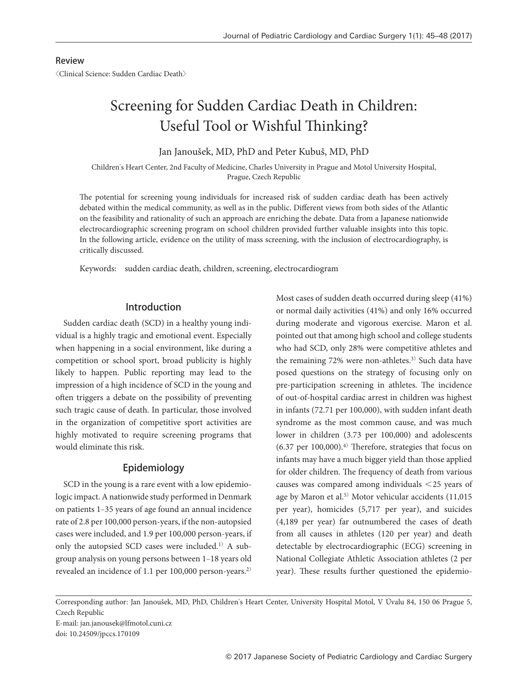#### Review

〈Clinical Science: Sudden Cardiac Death〉

# Screening for Sudden Cardiac Death in Children: Useful Tool or Wishful Thinking?

Jan Janoušek, MD, PhD and Peter Kubuš, MD, PhD

Children's Heart Center, 2nd Faculty of Medicine, Charles University in Prague and Motol University Hospital, Prague, Czech Republic

The potential for screening young individuals for increased risk of sudden cardiac death has been actively debated within the medical community, as well as in the public. Different views from both sides of the Atlantic on the feasibility and rationality of such an approach are enriching the debate. Data from a Japanese nationwide electrocardiographic screening program on school children provided further valuable insights into this topic. In the following article, evidence on the utility of mass screening, with the inclusion of electrocardiography, is critically discussed.

Keywords: sudden cardiac death, children, screening, electrocardiogram

# Introduction

Sudden cardiac death (SCD) in a healthy young individual is a highly tragic and emotional event. Especially when happening in a social environment, like during a competition or school sport, broad publicity is highly likely to happen. Public reporting may lead to the impression of a high incidence of SCD in the young and often triggers a debate on the possibility of preventing such tragic cause of death. In particular, those involved in the organization of competitive sport activities are highly motivated to require screening programs that would eliminate this risk.

## Epidemiology

SCD in the young is a rare event with a low epidemiologic impact. A nationwide study performed in Denmark on patients 1‒35 years of age found an annual incidence rate of 2.8 per 100,000 person-years, if the non-autopsied cases were included, and 1.9 per 100,000 person-years, if only the autopsied SCD cases were included.1) A subgroup analysis on young persons between 1‒18 years old revealed an incidence of 1.1 per 100,000 person-years.2) Most cases of sudden death occurred during sleep (41%) or normal daily activities (41%) and only 16% occurred during moderate and vigorous exercise. Maron et al. pointed out that among high school and college students who had SCD, only 28% were competitive athletes and the remaining 72% were non-athletes.<sup>3)</sup> Such data have posed questions on the strategy of focusing only on pre-participation screening in athletes. The incidence of out-of-hospital cardiac arrest in children was highest in infants (72.71 per 100,000), with sudden infant death syndrome as the most common cause, and was much lower in children (3.73 per 100,000) and adolescents  $(6.37 \text{ per } 100,000).$ <sup>4)</sup> Therefore, strategies that focus on infants may have a much bigger yield than those applied for older children. The frequency of death from various causes was compared among individuals <25 years of age by Maron et al.<sup>5)</sup> Motor vehicular accidents (11,015 per year), homicides (5,717 per year), and suicides (4,189 per year) far outnumbered the cases of death from all causes in athletes (120 per year) and death detectable by electrocardiographic (ECG) screening in National Collegiate Athletic Association athletes (2 per year). These results further questioned the epidemio-

Corresponding author: Jan Janoušek, MD, PhD, Children's Heart Center, University Hospital Motol, V Úvalu 84, 150 06 Prague 5, Czech Republic

E-mail: jan.janousek@lfmotol.cuni.cz doi: 10.24509/jpccs.170109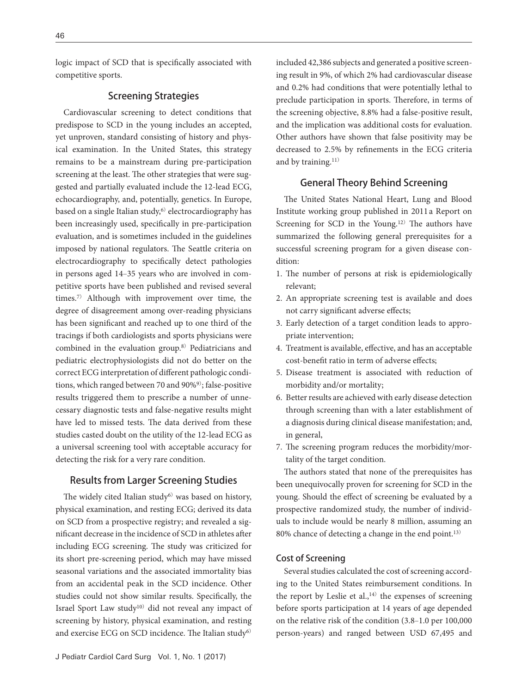logic impact of SCD that is specifically associated with competitive sports.

## Screening Strategies

Cardiovascular screening to detect conditions that predispose to SCD in the young includes an accepted, yet unproven, standard consisting of history and physical examination. In the United States, this strategy remains to be a mainstream during pre-participation screening at the least. The other strategies that were suggested and partially evaluated include the 12-lead ECG, echocardiography, and, potentially, genetics. In Europe, based on a single Italian study, $6$ ) electrocardiography has been increasingly used, specifically in pre-participation evaluation, and is sometimes included in the guidelines imposed by national regulators. The Seattle criteria on electrocardiography to specifically detect pathologies in persons aged 14‒35 years who are involved in competitive sports have been published and revised several times.7) Although with improvement over time, the degree of disagreement among over-reading physicians has been significant and reached up to one third of the tracings if both cardiologists and sports physicians were combined in the evaluation group.8) Pediatricians and pediatric electrophysiologists did not do better on the correct ECG interpretation of different pathologic conditions, which ranged between 70 and 90%<sup>9</sup>); false-positive results triggered them to prescribe a number of unnecessary diagnostic tests and false-negative results might have led to missed tests. The data derived from these studies casted doubt on the utility of the 12-lead ECG as a universal screening tool with acceptable accuracy for detecting the risk for a very rare condition.

# Results from Larger Screening Studies

The widely cited Italian study<sup>6)</sup> was based on history, physical examination, and resting ECG; derived its data on SCD from a prospective registry; and revealed a significant decrease in the incidence of SCD in athletes after including ECG screening. The study was criticized for its short pre-screening period, which may have missed seasonal variations and the associated immortality bias from an accidental peak in the SCD incidence. Other studies could not show similar results. Specifically, the Israel Sport Law study10) did not reveal any impact of screening by history, physical examination, and resting and exercise ECG on SCD incidence. The Italian study<sup>6)</sup>

included 42,386 subjects and generated a positive screening result in 9%, of which 2% had cardiovascular disease and 0.2% had conditions that were potentially lethal to preclude participation in sports. Therefore, in terms of the screening objective, 8.8% had a false-positive result, and the implication was additional costs for evaluation. Other authors have shown that false positivity may be decreased to 2.5% by refinements in the ECG criteria and by training.<sup>11)</sup>

## General Theory Behind Screening

The United States National Heart, Lung and Blood Institute working group published in 2011 a Report on Screening for SCD in the Young.<sup>12)</sup> The authors have summarized the following general prerequisites for a successful screening program for a given disease condition:

- 1. The number of persons at risk is epidemiologically relevant;
- 2. An appropriate screening test is available and does not carry significant adverse effects;
- 3. Early detection of a target condition leads to appropriate intervention;
- 4. Treatment is available, effective, and has an acceptable cost-benefit ratio in term of adverse effects;
- 5. Disease treatment is associated with reduction of morbidity and/or mortality;
- 6. Better results are achieved with early disease detection through screening than with a later establishment of a diagnosis during clinical disease manifestation; and, in general,
- 7. The screening program reduces the morbidity/mortality of the target condition.

The authors stated that none of the prerequisites has been unequivocally proven for screening for SCD in the young. Should the effect of screening be evaluated by a prospective randomized study, the number of individuals to include would be nearly 8 million, assuming an 80% chance of detecting a change in the end point.13)

#### Cost of Screening

Several studies calculated the cost of screening according to the United States reimbursement conditions. In the report by Leslie et al., $14)$  the expenses of screening before sports participation at 14 years of age depended on the relative risk of the condition (3.8‒1.0 per 100,000 person-years) and ranged between USD 67,495 and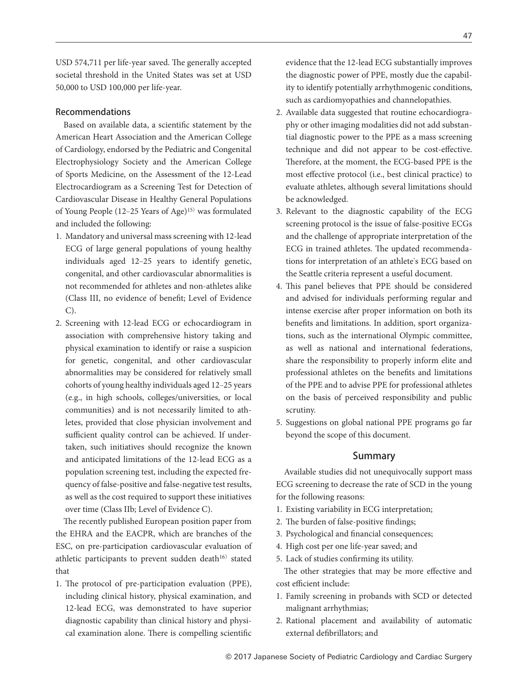USD 574,711 per life-year saved. The generally accepted societal threshold in the United States was set at USD 50,000 to USD 100,000 per life-year.

#### Recommendations

Based on available data, a scientific statement by the American Heart Association and the American College of Cardiology, endorsed by the Pediatric and Congenital Electrophysiology Society and the American College of Sports Medicine, on the Assessment of the 12-Lead Electrocardiogram as a Screening Test for Detection of Cardiovascular Disease in Healthy General Populations of Young People (12‒25 Years of Age)15) was formulated and included the following:

- 1. Mandatory and universal mass screening with 12-lead ECG of large general populations of young healthy individuals aged 12‒25 years to identify genetic, congenital, and other cardiovascular abnormalities is not recommended for athletes and non-athletes alike (Class III, no evidence of benefit; Level of Evidence C).
- 2. Screening with 12-lead ECG or echocardiogram in association with comprehensive history taking and physical examination to identify or raise a suspicion for genetic, congenital, and other cardiovascular abnormalities may be considered for relatively small cohorts of young healthy individuals aged 12‒25 years (e.g., in high schools, colleges/universities, or local communities) and is not necessarily limited to athletes, provided that close physician involvement and sufficient quality control can be achieved. If undertaken, such initiatives should recognize the known and anticipated limitations of the 12-lead ECG as a population screening test, including the expected frequency of false-positive and false-negative test results, as well as the cost required to support these initiatives over time (Class IIb; Level of Evidence C).

The recently published European position paper from the EHRA and the EACPR, which are branches of the ESC, on pre-participation cardiovascular evaluation of athletic participants to prevent sudden death $16$ ) stated that

1. The protocol of pre-participation evaluation (PPE), including clinical history, physical examination, and 12-lead ECG, was demonstrated to have superior diagnostic capability than clinical history and physical examination alone. There is compelling scientific

evidence that the 12-lead ECG substantially improves the diagnostic power of PPE, mostly due the capability to identify potentially arrhythmogenic conditions, such as cardiomyopathies and channelopathies.

- 2. Available data suggested that routine echocardiography or other imaging modalities did not add substantial diagnostic power to the PPE as a mass screening technique and did not appear to be cost-effective. Therefore, at the moment, the ECG-based PPE is the most effective protocol (i.e., best clinical practice) to evaluate athletes, although several limitations should be acknowledged.
- 3. Relevant to the diagnostic capability of the ECG screening protocol is the issue of false-positive ECGs and the challenge of appropriate interpretation of the ECG in trained athletes. The updated recommendations for interpretation of an athlete's ECG based on the Seattle criteria represent a useful document.
- 4. This panel believes that PPE should be considered and advised for individuals performing regular and intense exercise after proper information on both its benefits and limitations. In addition, sport organizations, such as the international Olympic committee, as well as national and international federations, share the responsibility to properly inform elite and professional athletes on the benefits and limitations of the PPE and to advise PPE for professional athletes on the basis of perceived responsibility and public scrutiny.
- 5. Suggestions on global national PPE programs go far beyond the scope of this document.

## Summary

Available studies did not unequivocally support mass ECG screening to decrease the rate of SCD in the young for the following reasons:

- 1. Existing variability in ECG interpretation;
- 2. The burden of false-positive findings;
- 3. Psychological and financial consequences;
- 4. High cost per one life-year saved; and
- 5. Lack of studies confirming its utility.

The other strategies that may be more effective and cost efficient include:

- 1. Family screening in probands with SCD or detected malignant arrhythmias;
- 2. Rational placement and availability of automatic external defibrillators; and